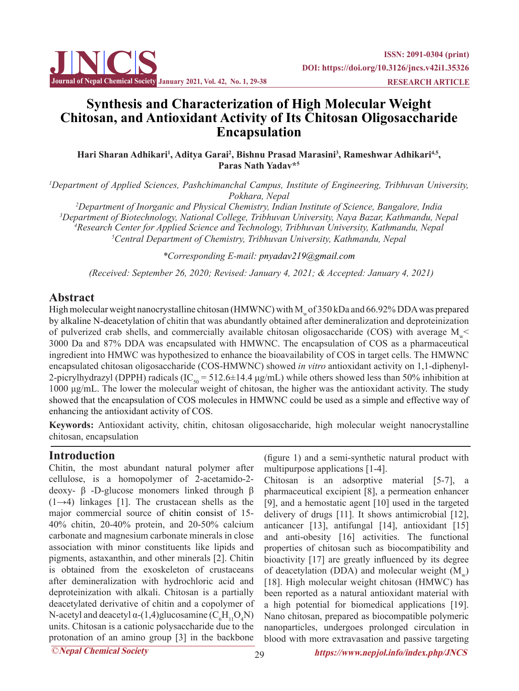

# **Synthesis and Characterization of High Molecular Weight Chitosan, and Antioxidant Activity of Its Chitosan Oligosaccharide Encapsulation**

Hari Sharan Adhikari<sup>1</sup>, Aditya Garai<sup>2</sup>, Bishnu Prasad Marasini<sup>3</sup>, Rameshwar Adhikari<sup>4,5</sup>, **Paras Nath Yadav\*5**

*1 Department of Applied Sciences, Pashchimanchal Campus, Institute of Engineering, Tribhuvan University, Pokhara, Nepal*

 *Department of Inorganic and Physical Chemistry, Indian Institute of Science, Bangalore, India Department of Biotechnology, National College, Tribhuvan University, Naya Bazar, Kathmandu, Nepal 4 Research Center for Applied Science and Technology, Tribhuvan University, Kathmandu, Nepal Central Department of Chemistry, Tribhuvan University, Kathmandu, Nepal*

*\*Corresponding E-mail: pnyadav219@gmail.com*

 *(Received: September 26, 2020; Revised: January 4, 2021; & Accepted: January 4, 2021)*

## **Abstract**

High molecular weight nanocrystalline chitosan (HMWNC) with M<sub>w</sub> of 350 kDa and 66.92% DDA was prepared by alkaline N-deacetylation of chitin that was abundantly obtained after demineralization and deproteinization of pulverized crab shells, and commercially available chitosan oligosaccharide (COS) with average  $M_{w}$ 3000 Da and 87% DDA was encapsulated with HMWNC. The encapsulation of COS as a pharmaceutical ingredient into HMWC was hypothesized to enhance the bioavailability of COS in target cells. The HMWNC encapsulated chitosan oligosaccharide (COS-HMWNC) showed *in vitro* antioxidant activity on 1,1-diphenyl-2-picrylhydrazyl (DPPH) radicals (IC<sub>50</sub> = 512.6 $\pm$ 14.4 μg/mL) while others showed less than 50% inhibition at 1000 μg/mL. The lower the molecular weight of chitosan, the higher was the antioxidant activity. The study showed that the encapsulation of COS molecules in HMWNC could be used as a simple and effective way of enhancing the antioxidant activity of COS.

**Keywords:** Antioxidant activity, chitin, chitosan oligosaccharide, high molecular weight nanocrystalline chitosan, encapsulation

## **Introduction**

Chitin, the most abundant natural polymer after cellulose, is a homopolymer of 2-acetamido-2 deoxy- β -D-glucose monomers linked through β  $(1\rightarrow4)$  linkages [1]. The crustacean shells as the major commercial source of chitin consist of 15- 40% chitin, 20-40% protein, and 20-50% calcium carbonate and magnesium carbonate minerals in close association with minor constituents like lipids and pigments, astaxanthin, and other minerals [2]. Chitin is obtained from the exoskeleton of crustaceans after demineralization with hydrochloric acid and deproteinization with alkali. Chitosan is a partially deacetylated derivative of chitin and a copolymer of N-acetyl and deacetyl  $\alpha$ -(1,4)glucosamine ( $C_6H_{11}O_4N$ ) units. Chitosan is a cationic polysaccharide due to the protonation of an amino group [3] in the backbone

(figure 1) and a semi-synthetic natural product with multipurpose applications [1-4].

Chitosan is an adsorptive material [5-7], a pharmaceutical excipient [8], a permeation enhancer [9], and a hemostatic agent [10] used in the targeted delivery of drugs [11]. It shows antimicrobial [12], anticancer [13], antifungal [14], antioxidant [15] and anti-obesity [16] activities. The functional properties of chitosan such as biocompatibility and bioactivity [17] are greatly influenced by its degree of deacetylation (DDA) and molecular weight  $(M<sub>omega</sub>)$ [18]. High molecular weight chitosan (HMWC) has been reported as a natural antioxidant material with a high potential for biomedical applications [19]. Nano chitosan, prepared as biocompatible polymeric nanoparticles, undergoes prolonged circulation in blood with more extravasation and passive targeting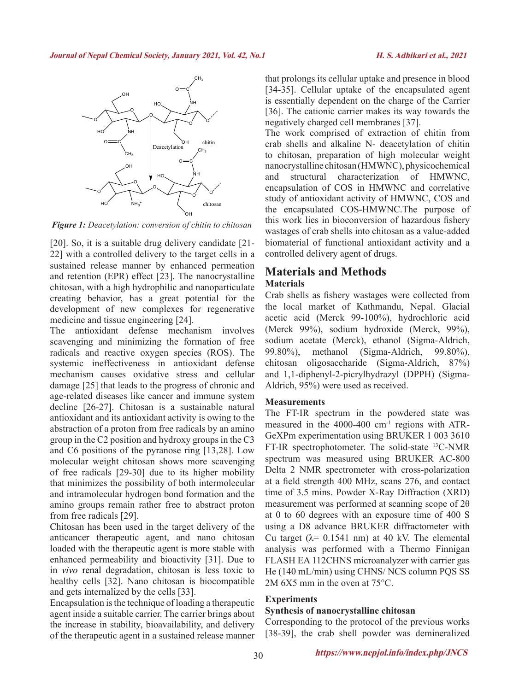

*Figure 1: Deacetylation: conversion of chitin to chitosan*

[20]. So, it is a suitable drug delivery candidate [21-22] with a controlled delivery to the target cells in a sustained release manner by enhanced permeation and retention (EPR) effect [23]. The nanocrystalline chitosan, with a high hydrophilic and nanoparticulate creating behavior, has a great potential for the development of new complexes for regenerative medicine and tissue engineering [24].

The antioxidant defense mechanism involves scavenging and minimizing the formation of free radicals and reactive oxygen species (ROS). The systemic ineffectiveness in antioxidant defense mechanism causes oxidative stress and cellular damage [25] that leads to the progress of chronic and age-related diseases like cancer and immune system decline [26-27]. Chitosan is a sustainable natural antioxidant and its antioxidant activity is owing to the abstraction of a proton from free radicals by an amino group in the C2 position and hydroxy groups in the C3 and C6 positions of the pyranose ring [13,28]. Low molecular weight chitosan shows more scavenging of free radicals [29-30] due to its higher mobility that minimizes the possibility of both intermolecular and intramolecular hydrogen bond formation and the amino groups remain rather free to abstract proton from free radicals [29].

Chitosan has been used in the target delivery of the anticancer therapeutic agent, and nano chitosan loaded with the therapeutic agent is more stable with enhanced permeability and bioactivity [31]. Due to in *vivo* renal degradation, chitosan is less toxic to healthy cells [32]. Nano chitosan is biocompatible and gets internalized by the cells [33].

Encapsulation is the technique of loading a therapeutic agent inside a suitable carrier. The carrier brings about the increase in stability, bioavailability, and delivery of the therapeutic agent in a sustained release manner that prolongs its cellular uptake and presence in blood [34-35]. Cellular uptake of the encapsulated agent is essentially dependent on the charge of the Carrier [36]. The cationic carrier makes its way towards the negatively charged cell membranes [37].

The work comprised of extraction of chitin from crab shells and alkaline N- deacetylation of chitin to chitosan, preparation of high molecular weight nanocrystalline chitosan (HMWNC), physicochemical and structural characterization of HMWNC, encapsulation of COS in HMWNC and correlative study of antioxidant activity of HMWNC, COS and the encapsulated COS-HMWNC.The purpose of this work lies in bioconversion of hazardous fishery wastages of crab shells into chitosan as a value-added biomaterial of functional antioxidant activity and a controlled delivery agent of drugs.

## **Materials and Methods Materials**

Crab shells as fishery wastages were collected from the local market of Kathmandu, Nepal. Glacial acetic acid (Merck 99-100%), hydrochloric acid (Merck 99%), sodium hydroxide (Merck, 99%), sodium acetate (Merck), ethanol (Sigma-Aldrich, 99.80%), methanol (Sigma-Aldrich, 99.80%), chitosan oligosaccharide (Sigma-Aldrich, 87%) and 1,1-diphenyl-2-picrylhydrazyl (DPPH) (Sigma-Aldrich, 95%) were used as received.

### **Measurements**

The FT-IR spectrum in the powdered state was measured in the 4000-400 cm-1 regions with ATR-GeXPm experimentation using BRUKER 1 003 3610 FT-IR spectrophotometer. The solid-state 13C-NMR spectrum was measured using BRUKER AC-800 Delta 2 NMR spectrometer with cross-polarization at a field strength 400 MHz, scans 276, and contact time of 3.5 mins. Powder X-Ray Diffraction (XRD) measurement was performed at scanning scope of 2θ at 0 to 60 degrees with an exposure time of 400 S using a D8 advance BRUKER diffractometer with Cu target  $(\lambda = 0.1541 \text{ nm})$  at 40 kV. The elemental analysis was performed with a Thermo Finnigan FLASH EA 112CHNS microanalyzer with carrier gas He (140 mL/min) using CHNS/ NCS column PQS SS 2M 6X5 mm in the oven at 75°C.

### **Experiments**

### **Synthesis of nanocrystalline chitosan**

Corresponding to the protocol of the previous works [38-39], the crab shell powder was demineralized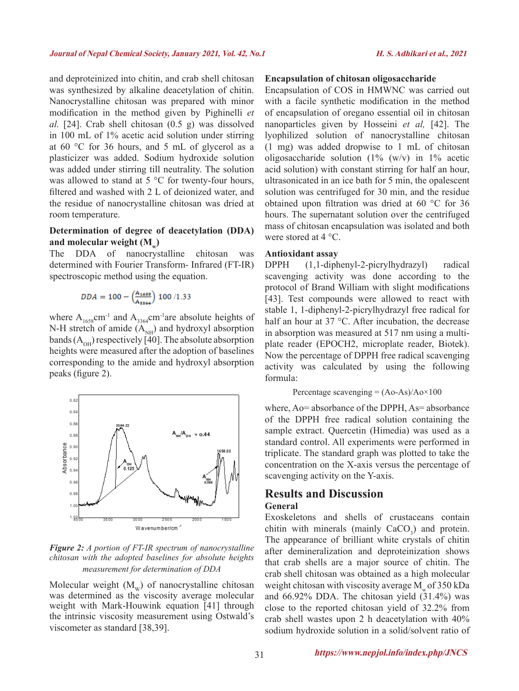and deproteinized into chitin, and crab shell chitosan was synthesized by alkaline deacetylation of chitin. Nanocrystalline chitosan was prepared with minor modification in the method given by Pighinelli *et al.* [24]. Crab shell chitosan (0.5 g) was dissolved in 100 mL of 1% acetic acid solution under stirring at 60 °C for 36 hours, and 5 mL of glycerol as a plasticizer was added. Sodium hydroxide solution was added under stirring till neutrality. The solution was allowed to stand at 5 °C for twenty-four hours, filtered and washed with 2 L of deionized water, and the residue of nanocrystalline chitosan was dried at room temperature.

### **Determination of degree of deacetylation (DDA)**  and molecular weight (M<sub>w</sub>)

The DDA of nanocrystalline chitosan was determined with Fourier Transform- Infrared (FT-IR) spectroscopic method using the equation.

$$
\text{DDA} = 100 - \left(\frac{A_{\text{1658}}}{A_{\text{1864}}}\right) \, 100 \, / 1.33
$$

where  $A_{1658}$ cm<sup>-1</sup> and  $A_{3364}$ cm<sup>-1</sup>are absolute heights of N-H stretch of amide  $(A_{NH})$  and hydroxyl absorption bands  $(A<sub>OH</sub>)$  respectively [40]. The absolute absorption heights were measured after the adoption of baselines corresponding to the amide and hydroxyl absorption peaks (figure 2).



*Figure 2: A portion of FT-IR spectrum of nanocrystalline chitosan with the adopted baselines for absolute heights measurement for determination of DDA*

Molecular weight  $(M_w)$  of nanocrystalline chitosan was determined as the viscosity average molecular weight with Mark-Houwink equation [41] through the intrinsic viscosity measurement using Ostwald's viscometer as standard [38,39].

### **Encapsulation of chitosan oligosaccharide**

Encapsulation of COS in HMWNC was carried out with a facile synthetic modification in the method of encapsulation of oregano essential oil in chitosan nanoparticles given by Hosseini *et al,* [42]. The lyophilized solution of nanocrystalline chitosan (1 mg) was added dropwise to 1 mL of chitosan oligosaccharide solution  $(1\% (w/v)$  in  $1\%$  acetic acid solution) with constant stirring for half an hour, ultrasonicated in an ice bath for 5 min, the opalescent solution was centrifuged for 30 min, and the residue obtained upon filtration was dried at 60 °C for 36 hours. The supernatant solution over the centrifuged mass of chitosan encapsulation was isolated and both were stored at 4 °C.

### **Antioxidant assay**

DPPH (1,1-diphenyl-2-picrylhydrazyl) radical scavenging activity was done according to the protocol of Brand William with slight modifications [43]. Test compounds were allowed to react with stable 1, 1-diphenyl-2-picrylhydrazyl free radical for half an hour at 37 °C. After incubation, the decrease in absorption was measured at 517 nm using a multiplate reader (EPOCH2, microplate reader, Biotek). Now the percentage of DPPH free radical scavenging activity was calculated by using the following formula:

Percentage scavenging  $= (A_0 - As)/A_0 \times 100$ 

where, Ao= absorbance of the DPPH, As= absorbance of the DPPH free radical solution containing the sample extract. Quercetin (Himedia) was used as a standard control. All experiments were performed in triplicate. The standard graph was plotted to take the concentration on the X-axis versus the percentage of scavenging activity on the Y-axis.

### **Results and Discussion General**

Exoskeletons and shells of crustaceans contain chitin with minerals (mainly  $CaCO<sub>3</sub>$ ) and protein. The appearance of brilliant white crystals of chitin after demineralization and deproteinization shows that crab shells are a major source of chitin. The crab shell chitosan was obtained as a high molecular weight chitosan with viscosity average  $M_{\odot}$  of 350 kDa and 66.92% DDA. The chitosan yield (31.4%) was close to the reported chitosan yield of 32.2% from crab shell wastes upon 2 h deacetylation with 40% sodium hydroxide solution in a solid/solvent ratio of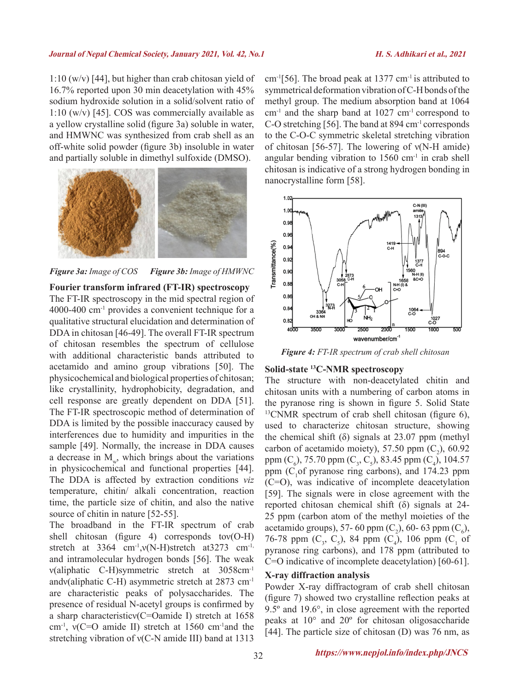### **Journal of Nepal Chemical Society, January 2021, Vol. 42, No.1****H. S. Adhikari et al., 2021**

1:10 (w/v) [44], but higher than crab chitosan yield of 16.7% reported upon 30 min deacetylation with 45% sodium hydroxide solution in a solid/solvent ratio of 1:10 (w/v) [45]. COS was commercially available as a yellow crystalline solid (figure 3a) soluble in water, and HMWNC was synthesized from crab shell as an off-white solid powder (figure 3b) insoluble in water and partially soluble in dimethyl sulfoxide (DMSO).



*Figure 3a: Image of COS Figure 3b: Image of HMWNC*

### **Fourier transform infrared (FT-IR) spectroscopy**

The FT-IR spectroscopy in the mid spectral region of 4000-400 cm-1 provides a convenient technique for a qualitative structural elucidation and determination of DDA in chitosan [46-49]. The overall FT-IR spectrum of chitosan resembles the spectrum of cellulose with additional characteristic bands attributed to acetamido and amino group vibrations [50]. The physicochemical and biological properties of chitosan; like crystallinity, hydrophobicity, degradation, and cell response are greatly dependent on DDA [51]. The FT-IR spectroscopic method of determination of DDA is limited by the possible inaccuracy caused by interferences due to humidity and impurities in the sample [49]. Normally, the increase in DDA causes a decrease in  $M_{\nu}$ , which brings about the variations in physicochemical and functional properties [44]. The DDA is affected by extraction conditions *viz*  temperature, chitin/ alkali concentration, reaction time, the particle size of chitin, and also the native source of chitin in nature [52-55].

The broadband in the FT-IR spectrum of crab shell chitosan (figure 4) corresponds tov $(O-H)$ stretch at  $3364$  cm<sup>-1</sup>,v(N-H)stretch at  $3273$  cm<sup>-1,</sup> and intramolecular hydrogen bonds [56]. The weak ν(aliphatic C-H)symmetric stretch at 3058cm-1 andν(aliphatic C-H) asymmetric stretch at 2873 cm-1 are characteristic peaks of polysaccharides. The presence of residual N-acetyl groups is confirmed by a sharp characteristicν(C=Oamide I) stretch at 1658 cm-1, ν(C=O amide II) stretch at 1560 cm-1and the stretching vibration of ν(C-N amide III) band at 1313

cm<sup>-1</sup>[56]. The broad peak at 1377 cm<sup>-1</sup> is attributed to symmetrical deformation vibration of C-H bonds of the methyl group. The medium absorption band at 1064 cm-1 and the sharp band at 1027 cm-1 correspond to C-O stretching [56]. The band at 894 cm-1 corresponds to the C-O-C symmetric skeletal stretching vibration of chitosan [56-57]. The lowering of ν(N-H amide) angular bending vibration to  $1560 \text{ cm}^{-1}$  in crab shell chitosan is indicative of a strong hydrogen bonding in nanocrystalline form [58].



*Figure 4: FT-IR spectrum of crab shell chitosan*

### **Solid-state 13C-NMR spectroscopy**

The structure with non-deacetylated chitin and chitosan units with a numbering of carbon atoms in the pyranose ring is shown in figure 5. Solid State <sup>13</sup>CNMR spectrum of crab shell chitosan (figure 6), used to characterize chitosan structure, showing the chemical shift  $(\delta)$  signals at 23.07 ppm (methyl) carbon of acetamido moiety), 57.50 ppm  $(C_2)$ , 60.92 ppm  $(C_6)$ , 75.70 ppm  $(C_3, C_5)$ , 83.45 ppm  $(C_4)$ , 104.57 ppm ( $C_1$ of pyranose ring carbons), and 174.23 ppm (C=O), was indicative of incomplete deacetylation [59]. The signals were in close agreement with the reported chitosan chemical shift (δ) signals at 24- 25 ppm (carbon atom of the methyl moieties of the acetamido groups), 57- 60 ppm  $(C_2)$ , 60- 63 ppm  $(C_6)$ , 76-78 ppm  $(C_3, C_5)$ , 84 ppm  $(C_4)$ , 106 ppm  $(C_1 \text{ of }$ pyranose ring carbons), and 178 ppm (attributed to C=O indicative of incomplete deacetylation) [60-61].

### **X-ray diffraction analysis**

Powder X-ray diffractogram of crab shell chitosan (figure 7) showed two crystalline reflection peaks at 9.5º and 19.6°, in close agreement with the reported peaks at 10° and 20º for chitosan oligosaccharide [44]. The particle size of chitosan (D) was 76 nm, as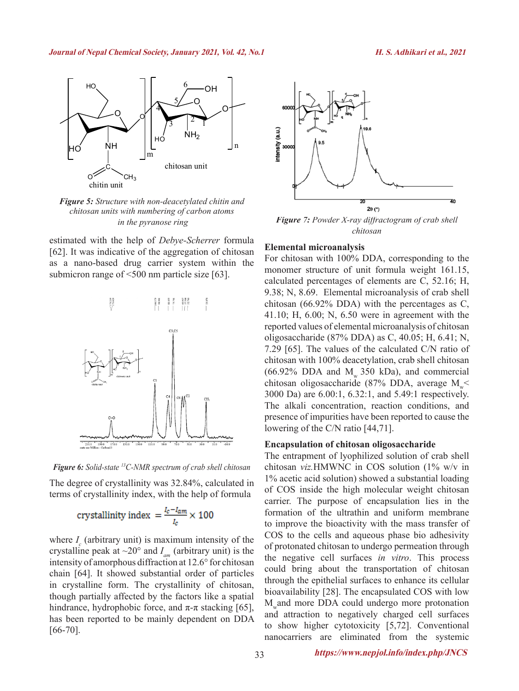

*Figure 5: Structure with non-deacetylated chitin and chitosan units with numbering of carbon atoms*

estimated with the help of *Debye-Scherrer* formula [62]. It was indicative of the aggregation of chitosan as a nano-based drug carrier system within the submicron range of <500 nm particle size [63].



*Figure 6: Solid-state 13C-NMR spectrum of crab shell chitosan*

The degree of crystallinity was 32.84%, calculated in terms of crystallinity index, with the help of formula

crystallinity index 
$$
=
$$
  $\frac{I_c - I_{am}}{I_c} \times 100$ 

where  $I_c$  (arbitrary unit) is maximum intensity of the crystalline peak at  $\sim$ 20° and  $I_{am}$  (arbitrary unit) is the intensity of amorphous diffraction at 12.6° for chitosan chain [64]. It showed substantial order of particles in crystalline form. The crystallinity of chitosan, though partially affected by the factors like a spatial hindrance, hydrophobic force, and  $\pi$ -π stacking [65], has been reported to be mainly dependent on DDA  $[66-70]$ .



 *in the pyranose ring Figure 7: Powder X-ray diffractogram of crab shell chitosan*

### **Elemental microanalysis**

For chitosan with 100% DDA, corresponding to the monomer structure of unit formula weight 161.15, calculated percentages of elements are C, 52.16; H, 9.38; N, 8.69. Elemental microanalysis of crab shell chitosan (66.92% DDA) with the percentages as C, 41.10; H, 6.00; N, 6.50 were in agreement with the reported values of elemental microanalysis of chitosan oligosaccharide (87% DDA) as C, 40.05; H, 6.41; N, 7.29 [65]. The values of the calculated C/N ratio of chitosan with 100% deacetylation, crab shell chitosan  $(66.92\% \text{ DDA}$  and M<sub>w</sub> 350 kDa), and commercial chitosan oligosaccharide (87% DDA, average  $M \leq$ 3000 Da) are 6.00:1, 6.32:1, and 5.49:1 respectively. The alkali concentration, reaction conditions, and presence of impurities have been reported to cause the lowering of the C/N ratio [44,71].

### **Encapsulation of chitosan oligosaccharide**

The entrapment of lyophilized solution of crab shell chitosan *viz.*HMWNC in COS solution (1% w/v in 1% acetic acid solution) showed a substantial loading of COS inside the high molecular weight chitosan carrier. The purpose of encapsulation lies in the formation of the ultrathin and uniform membrane to improve the bioactivity with the mass transfer of COS to the cells and aqueous phase bio adhesivity of protonated chitosan to undergo permeation through the negative cell surfaces *in vitro*. This process could bring about the transportation of chitosan through the epithelial surfaces to enhance its cellular bioavailability [28]. The encapsulated COS with low M<sub>w</sub>and more DDA could undergo more protonation and attraction to negatively charged cell surfaces to show higher cytotoxicity [5,72]. Conventional nanocarriers are eliminated from the systemic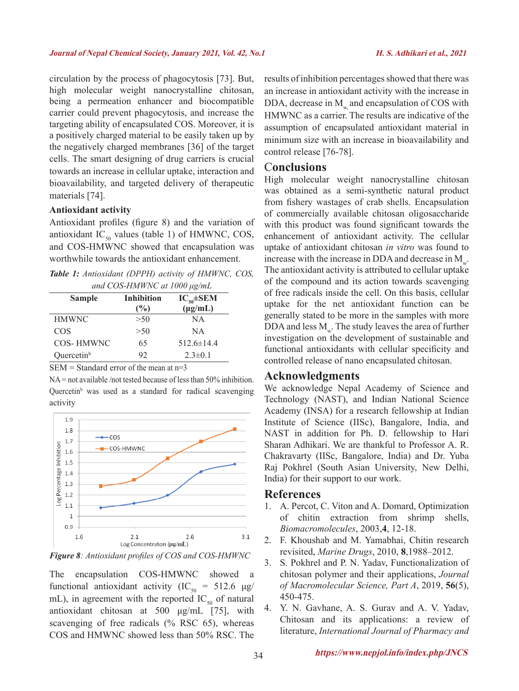circulation by the process of phagocytosis [73]. But, high molecular weight nanocrystalline chitosan, being a permeation enhancer and biocompatible carrier could prevent phagocytosis, and increase the targeting ability of encapsulated COS. Moreover, it is a positively charged material to be easily taken up by the negatively charged membranes [36] of the target cells. The smart designing of drug carriers is crucial towards an increase in cellular uptake, interaction and bioavailability, and targeted delivery of therapeutic materials [74].

### **Antioxidant activity**

Antioxidant profiles (figure 8) and the variation of antioxidant  $IC_{50}$  values (table 1) of HMWNC, COS, and COS-HMWNC showed that encapsulation was worthwhile towards the antioxidant enhancement.

*Table 1: Antioxidant (DPPH) activity of HMWNC, COS, and COS-HMWNC at 1000 μg/mL*

| $\mu$ and COD-THM $\mu$ ive at 1000 $\mu$ g/mL |                   |                   |
|------------------------------------------------|-------------------|-------------------|
| <b>Sample</b>                                  | <b>Inhibition</b> | $IC_{50} \pm SEM$ |
|                                                | $(\%)$            | $(\mu g/mL)$      |
| <b>HMWNC</b>                                   | >50               | NA                |
| COS                                            | >50               | <b>NA</b>         |
| COS-HMWNC                                      | 65                | $512.6 \pm 14.4$  |
| Quercetin <sup>b</sup>                         | 92                | $2.3 \pm 0.1$     |

 $SEM = Standard error of the mean at  $n=3$$ 

NA = not available /not tested because of less than 50% inhibition. Quercetin<sup>b</sup> was used as a standard for radical scavenging activity



*Figure 8: Antioxidant profiles of COS and COS-HMWNC*

The encapsulation COS-HMWNC showed a functional antioxidant activity (IC<sub>50</sub> = 512.6  $\mu$ g/ mL), in agreement with the reported  $IC_{50}$  of natural antioxidant chitosan at 500 μg/mL [75], with scavenging of free radicals (% RSC 65), whereas COS and HMWNC showed less than 50% RSC. The results of inhibition percentages showed that there was an increase in antioxidant activity with the increase in DDA, decrease in M<sub>w</sub> and encapsulation of COS with HMWNC as a carrier. The results are indicative of the assumption of encapsulated antioxidant material in minimum size with an increase in bioavailability and control release [76-78].

### C**onclusions**

High molecular weight nanocrystalline chitosan was obtained as a semi-synthetic natural product from fishery wastages of crab shells. Encapsulation of commercially available chitosan oligosaccharide with this product was found significant towards the enhancement of antioxidant activity. The cellular uptake of antioxidant chitosan *in vitro* was found to increase with the increase in DDA and decrease in  $M_{\dots}$ . The antioxidant activity is attributed to cellular uptake of the compound and its action towards scavenging of free radicals inside the cell. On this basis, cellular uptake for the net antioxidant function can be generally stated to be more in the samples with more DDA and less  $M_{w}$ . The study leaves the area of further investigation on the development of sustainable and functional antioxidants with cellular specificity and controlled release of nano encapsulated chitosan.

### **Acknowledgments**

We acknowledge Nepal Academy of Science and Technology (NAST), and Indian National Science Academy (INSA) for a research fellowship at Indian Institute of Science (IISc), Bangalore, India, and NAST in addition for Ph. D. fellowship to Hari Sharan Adhikari. We are thankful to Professor A. R. Chakravarty (IISc, Bangalore, India) and Dr. Yuba Raj Pokhrel (South Asian University, New Delhi, India) for their support to our work.

### **References**

- 1. A. Percot, C. Viton and A. Domard, Optimization of chitin extraction from shrimp shells, *Biomacromolecules*, 2003,**4**, 12-18.
- 2. F. Khoushab and M. Yamabhai, Chitin research revisited, *Marine Drugs*, 2010, **8**,1988–2012.
- 3. S. Pokhrel and P. N. Yadav, Functionalization of chitosan polymer and their applications, *Journal of Macromolecular Science, Part A*, 2019, **56**(5), 450-475.
- 4. Y. N. Gavhane, A. S. Gurav and A. V. Yadav, Chitosan and its applications: a review of literature, *International Journal of Pharmacy and*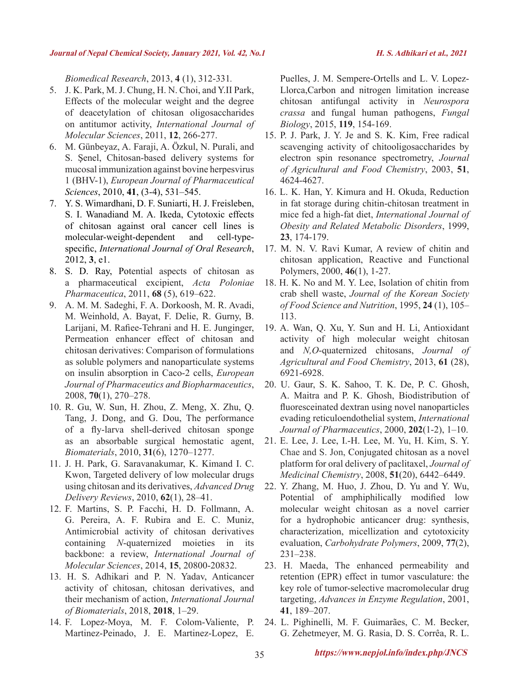*Biomedical Research*, 2013, **4** (1), 312-331*.*

- 5. J. K. Park, M. J. Chung, H. N. Choi, and Y.II Park, Effects of the molecular weight and the degree of deacetylation of chitosan oligosaccharides on antitumor activity, *International Journal of Molecular Sciences*, 2011, **12**, 266-277.
- 6. M. Günbeyaz, A. Faraji, A. Özkul, N. Purali, and S. Şenel, Chitosan-based delivery systems for mucosal immunization against bovine herpesvirus 1 (BHV-1), *European Journal of Pharmaceutical Sciences*, 2010, **41**, (3-4), 531–545.
- 7. Y. S. Wimardhani, D. F. Suniarti, H. J. Freisleben, S. I. Wanadiand M. A. Ikeda, Cytotoxic effects of chitosan against oral cancer cell lines is molecular-weight-dependent and cell-typespecific, *International Journal of Oral Research*, 2012, **3**, e1.
- 8. S. D. Ray, Potential aspects of chitosan as a pharmaceutical excipient, *Acta Poloniae Pharmaceutica*, 2011, **68** (5), 619–622.
- 9. A. M. M. Sadeghi, F. A. Dorkoosh, M. R. Avadi, M. Weinhold, A. Bayat, F. Delie, R. Gurny, B. Larijani, M. Rafiee-Tehrani and H. E. Junginger, Permeation enhancer effect of chitosan and chitosan derivatives: Comparison of formulations as soluble polymers and nanoparticulate systems on insulin absorption in Caco-2 cells, *European Journal of Pharmaceutics and Biopharmaceutics*, 2008, **70**(1), 270–278.
- 10. R. Gu, W. Sun, H. Zhou, Z. Meng, X. Zhu, Q. Tang, J. Dong, and G. Dou, The performance of a fly-larva shell-derived chitosan sponge as an absorbable surgical hemostatic agent, *Biomaterials*, 2010, **31**(6), 1270–1277.
- 11. J. H. Park, G. Saravanakumar, K. Kimand I. C. Kwon, Targeted delivery of low molecular drugs using chitosan and its derivatives, *Advanced Drug Delivery Reviews*, 2010, **62**(1), 28–41.
- 12. F. Martins, S. P. Facchi, H. D. Follmann, A. G. Pereira, A. F. Rubira and E. C. Muniz, Antimicrobial activity of chitosan derivatives containing *N*-quaternized moieties in its backbone: a review, *International Journal of Molecular Sciences*, 2014, **15**, 20800-20832.
- 13. H. S. Adhikari and P. N. Yadav, Anticancer activity of chitosan, chitosan derivatives, and their mechanism of action, *International Journal of Biomaterials*, 2018, **2018**, 1–29.
- 14. F. Lopez-Moya, M. F. Colom-Valiente, P. Martinez-Peinado, J. E. Martinez-Lopez, E.

Puelles, J. M. Sempere-Ortells and L. V. Lopez-Llorca,Carbon and nitrogen limitation increase chitosan antifungal activity in *Neurospora crassa* and fungal human pathogens, *Fungal Biology*, 2015, **119**, 154-169.

- 15. P. J. Park, J. Y. Je and S. K. Kim, Free radical scavenging activity of chitooligosaccharides by electron spin resonance spectrometry, *Journal of Agricultural and Food Chemistry*, 2003, **51**, 4624-4627.
- 16. L. K. Han, Y. Kimura and H. Okuda, Reduction in fat storage during chitin-chitosan treatment in mice fed a high-fat diet, *International Journal of Obesity and Related Metabolic Disorders*, 1999, **23**, 174-179.
- 17. M. N. V. Ravi Kumar, A review of chitin and chitosan application, Reactive and Functional Polymers, 2000, **46**(1), 1-27.
- 18. H. K. No and M. Y. Lee, Isolation of chitin from crab shell waste, *Journal of the Korean Society of Food Science and Nutrition*, 1995, **24** (1), 105– 113.
- 19. A. Wan, Q. Xu, Y. Sun and H. Li, Antioxidant activity of high molecular weight chitosan and *N,O*-quaternized chitosans, *Journal of Agricultural and Food Chemistry*, 2013, **61** (28), 6921-6928.
- 20. U. Gaur, S. K. Sahoo, T. K. De, P. C. Ghosh, A. Maitra and P. K. Ghosh, Biodistribution of fluoresceinated dextran using novel nanoparticles evading reticuloendothelial system, *International Journal of Pharmaceutics*, 2000, **202**(1-2), 1–10.
- 21. E. Lee, J. Lee, I.-H. Lee, M. Yu, H. Kim, S. Y. Chae and S. Jon, Conjugated chitosan as a novel platform for oral delivery of paclitaxel, *Journal of Medicinal Chemistry*, 2008, **51**(20), 6442–6449.
- 22. Y. Zhang, M. Huo, J. Zhou, D. Yu and Y. Wu, Potential of amphiphilically modified low molecular weight chitosan as a novel carrier for a hydrophobic anticancer drug: synthesis, characterization, micellization and cytotoxicity evaluation, *Carbohydrate Polymers*, 2009, **77**(2), 231–238.
- 23. H. Maeda, The enhanced permeability and retention (EPR) effect in tumor vasculature: the key role of tumor-selective macromolecular drug targeting, *Advances in Enzyme Regulation*, 2001, **41**, 189–207.
- 24. L. Pighinelli, M. F. Guimarães, C. M. Becker, G. Zehetmeyer, M. G. Rasia, D. S. Corrêa, R. L.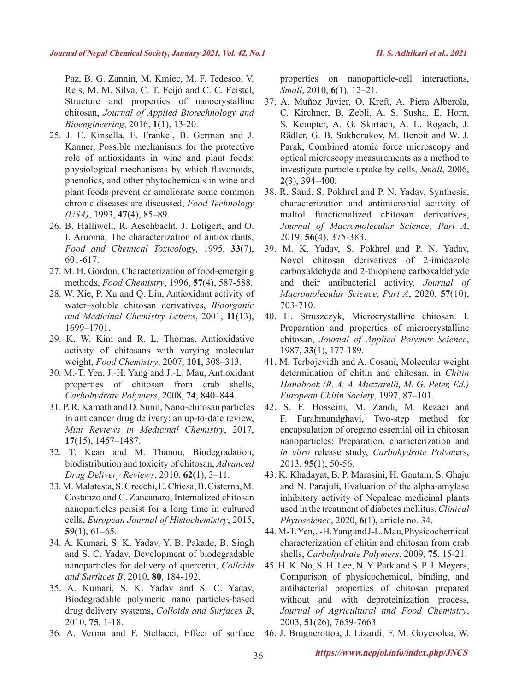Paz, B. G. Zannin, M. Kmiec, M. F. Tedesco, V. Reis, M. M. Silva, C. T. Feijó and C. C. Feistel, Structure and properties of nanocrystalline chitosan, *Journal of Applied Biotechnology and Bioengineering*, 2016, **1**(1), 13-20.

- 25. J. E. Kinsella, E. Frankel, B. German and J. Kanner, Possible mechanisms for the protective role of antioxidants in wine and plant foods: physiological mechanisms by which flavonoids, phenolics, and other phytochemicals in wine and plant foods prevent or ameliorate some common chronic diseases are discussed, *Food Technology (USA)*, 1993, **47**(4), 85–89.
- 26. B. Halliwell, R. Aeschbacht, J. Loligert, and O. I. Aruoma, The characterization of antioxidants, *Food and Chemical Toxicol*ogy, 1995, **33**(7), 601-617.
- 27. M. H. Gordon, Characterization of food-emerging methods, *Food Chemistry*, 1996, **57**(4), 587-588.
- 28. W. Xie, P. Xu and Q. Liu, Antioxidant activity of water–soluble chitosan derivatives, *Bioorganic and Medicinal Chemistry Letters*, 2001, **11**(13), 1699–1701.
- 29. K. W. Kim and R. L. Thomas, Antioxidative activity of chitosans with varying molecular weight, *Food Chemistry*, 2007, **101**, 308–313.
- 30. M.-T. Yen, J.-H. Yang and J.-L. Mau, Antioxidant properties of chitosan from crab shells, *Carbohydrate Polymers*, 2008, **74**, 840–844.
- 31. P. R. Kamath and D. Sunil, Nano-chitosan particles in anticancer drug delivery: an up-to-date review, *Mini Reviews in Medicinal Chemistry*, 2017, **17**(15), 1457–1487.
- 32. T. Kean and M. Thanou, Biodegradation, biodistribution and toxicity of chitosan, *Advanced Drug Delivery Reviews*, 2010, **62**(1), 3–11.
- 33. M. Malatesta, S. Grecchi, E. Chiesa, B. Cisterna, M. Costanzo and C. Zancanaro, Internalized chitosan nanoparticles persist for a long time in cultured cells, *European Journal of Histochemistry*, 2015, **59**(1), 61–65.
- 34. A. Kumari, S. K. Yadav, Y. B. Pakade, B. Singh and S. C. Yadav, Development of biodegradable nanoparticles for delivery of quercetin, *Colloids and Surfaces B*, 2010, **80**, 184-192.
- 35. A. Kumari, S. K. Yadav and S. C. Yadav, Biodegradable polymeric nano particles-based drug delivery systems, *Colloids and Surfaces B*, 2010, **75**, 1-18.
- 36. A. Verma and F. Stellacci, Effect of surface

properties on nanoparticle-cell interactions, *Small*, 2010, **6**(1), 12–21.

- 37. A. Muñoz Javier, O. Kreft, A. Piera Alberola, C. Kirchner, B. Zebli, A. S. Susha, E. Horn, S. Kempter, A. G. Skirtach, A. L. Rogach, J. Rädler, G. B. Sukhorukov, M. Benoit and W. J. Parak, Combined atomic force microscopy and optical microscopy measurements as a method to investigate particle uptake by cells, *Small*, 2006, **2**(3), 394–400.
- 38. R. Saud, S. Pokhrel and P. N. Yadav, Synthesis, characterization and antimicrobial activity of maltol functionalized chitosan derivatives, *Journal of Macromolecular Science, Part A*, 2019, **56**(4), 375-383.
- 39. M. K. Yadav, S. Pokhrel and P. N. Yadav, Novel chitosan derivatives of 2-imidazole carboxaldehyde and 2-thiophene carboxaldehyde and their antibacterial activity, *Journal of Macromolecular Science, Part A*, 2020, **57**(10), 703-710.
- 40. H. Struszczyk, Microcrystalline chitosan. I. Preparation and properties of microcrystalline chitosan, *Journal of Applied Polymer Science*, 1987, **33**(1), 177-189.
- 41. M. Terbojevidh and A. Cosani, Molecular weight determination of chitin and chitosan, in *Chitin Handbook (R. A. A. Muzzarelli, M. G. Peter, Ed.) European Chitin Society*, 1997, 87–101.
- 42. S. F. Hosseini, M. Zandi, M. Rezaei and F. Farahmandghavi, Two-step method for encapsulation of oregano essential oil in chitosan nanoparticles: Preparation, characterization and *in vitro* release study, *Carbohydrate Polym*ers, 2013, **95(**1), 50-56.
- 43. K. Khadayat, B. P. Marasini, H. Gautam, S. Ghaju and N. Parajuli, Evaluation of the alpha-amylase inhibitory activity of Nepalese medicinal plants used in the treatment of diabetes mellitus, *Clinical Phytoscience*, 2020, **6**(1), article no. 34.
- 44. M-T. Yen, J-H. Yang and J-L. Mau, Physicochemical characterization of chitin and chitosan from crab shells, *Carbohydrate Polymers*, 2009, **75**, 15-21.
- 45. H. K. No, S. H. Lee, N. Y. Park and S. P. J. Meyers, Comparison of physicochemical, binding, and antibacterial properties of chitosan prepared without and with deproteinization process, *Journal of Agricultural and Food Chemistry*, 2003, **51**(26), 7659-7663.

46. J. Brugnerottoa, J. Lizardi, F. M. Goycoolea, W.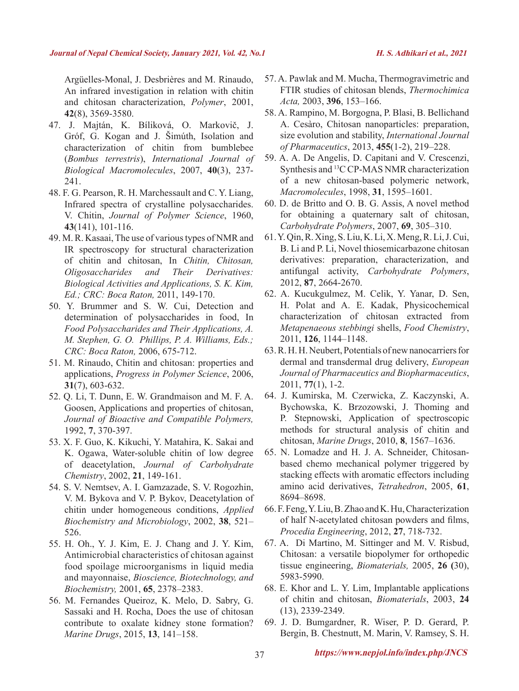Argüelles-Monal, J. Desbriѐres and M. Rinaudo, An infrared investigation in relation with chitin and chitosan characterization, *Polymer*, 2001, **42**(8), 3569-3580.

- 47. J. Majtán, K. Bíliková, O. Markovič, J. Gróf, G. Kogan and J. Šimúth, Isolation and characterization of chitin from bumblebee (*Bombus terrestris*), *International Journal of Biological Macromolecules*, 2007, **40**(3), 237- 241.
- 48. F. G. Pearson, R. H. Marchessault and C. Y. Liang, Infrared spectra of crystalline polysaccharides. V. Chitin, *Journal of Polymer Science*, 1960, **43**(141), 101-116.
- 49. M. R. Kasaai, The use of various types of NMR and IR spectroscopy for structural characterization of chitin and chitosan, In *Chitin, Chitosan, Oligosaccharides and Their Derivatives: Biological Activities and Applications, S. K. Kim, Ed.; CRC: Boca Raton,* 2011, 149-170.
- 50. Y. Brummer and S. W. Cui, Detection and determination of polysaccharides in food, In *Food Polysaccharides and Their Applications, A. M. Stephen, G. O. Phillips, P. A. Williams, Eds.; CRC: Boca Raton,* 2006, 675-712.
- 51. M. Rinaudo, Chitin and chitosan: properties and applications, *Progress in Polymer Science*, 2006, **31**(7), 603-632.
- 52. Q. Li, T. Dunn, E. W. Grandmaison and M. F. A. Goosen, Applications and properties of chitosan, *Journal of Bioactive and Compatible Polymers,* 1992, **7**, 370-397.
- 53. X. F. Guo, K. Kikuchi, Y. Matahira, K. Sakai and K. Ogawa, Water-soluble chitin of low degree of deacetylation, *Journal of Carbohydrate Chemistry*, 2002, **21**, 149-161.
- 54. S. V. Nemtsev, A. I. Gamzazade, S. V. Rogozhin, V. M. Bykova and V. P. Bykov, Deacetylation of chitin under homogeneous conditions, *Applied Biochemistry and Microbiology*, 2002, **38**, 521– 526.
- 55. H. Oh., Y. J. Kim, E. J. Chang and J. Y. Kim, Antimicrobial characteristics of chitosan against food spoilage microorganisms in liquid media and mayonnaise, *Bioscience, Biotechnology, and Biochemistry,* 2001, **65**, 2378–2383.
- 56. M. Fernandes Queiroz, K. Melo, D. Sabry, G. Sassaki and H. Rocha, Does the use of chitosan contribute to oxalate kidney stone formation? *Marine Drugs*, 2015, **13**, 141–158.
- 57. A. Pawlak and M. Mucha, Thermogravimetric and FTIR studies of chitosan blends, *Thermochimica Acta,* 2003, **396**, 153–166.
- 58. A. Rampino, M. Borgogna, P. Blasi, B. Bellichand A. Cesàro, Chitosan nanoparticles: preparation, size evolution and stability, *International Journal of Pharmaceutics*, 2013, **455**(1-2), 219–228.
- 59. A. A. De Angelis, D. Capitani and V. Crescenzi, Synthesis and 13C CP-MAS NMR characterization of a new chitosan-based polymeric network, *Macromolecules*, 1998, **31**, 1595–1601.
- 60. D. de Britto and O. B. G. Assis, A novel method for obtaining a quaternary salt of chitosan, *Carbohydrate Polymers*, 2007, **69**, 305–310.
- 61. Y. Qin, R. Xing, S. Liu, K. Li, X. Meng, R. Li, J. Cui, B. Li and P. Li, Novel thiosemicarbazone chitosan derivatives: preparation, characterization, and antifungal activity, *Carbohydrate Polymers*, 2012, **87**, 2664-2670.
- 62. A. Kucukgulmez, M. Celik, Y. Yanar, D. Sen, H. Polat and A. E. Kadak, Physicochemical characterization of chitosan extracted from *Metapenaeous stebbingi* shells, *Food Chemistry*, 2011, **126**, 1144–1148.
- 63. R. H. H. Neubert, Potentials of new nanocarriers for dermal and transdermal drug delivery, *European Journal of Pharmaceutics and Biopharmaceutics*, 2011, **77**(1), 1-2.
- 64. J. Kumirska, M. Czerwicka, Z. Kaczynski, A. Bychowska, K. Brzozowski, J. Thoming and P. Stepnowski, Application of spectroscopic methods for structural analysis of chitin and chitosan, *Marine Drugs*, 2010, **8**, 1567–1636.
- 65. N. Lomadze and H. J. A. Schneider, Chitosanbased chemo mechanical polymer triggered by stacking effects with aromatic effectors including amino acid derivatives, *Tetrahedron*, 2005, **61**, 8694–8698.
- 66. F. Feng, Y. Liu, B. Zhao and K. Hu, Characterization of half N-acetylated chitosan powders and films, *Procedia Engineering*, 2012, **27**, 718-732.
- 67. A. Di Martino, M. Sittinger and M. V. Risbud, Chitosan: a versatile biopolymer for orthopedic tissue engineering, *Biomaterials,* 2005, **26 (**30), 5983-5990.
- 68. E. Khor and L. Y. Lim, Implantable applications of chitin and chitosan, *Biomaterials*, 2003, **24** (13), 2339-2349.
- 69. J. D. Bumgardner, R. Wiser, P. D. Gerard, P. Bergin, B. Chestnutt, M. Marin, V. Ramsey, S. H.